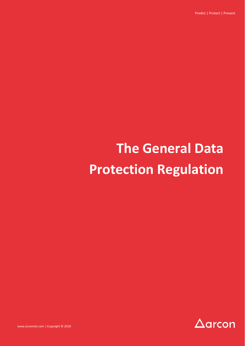Predict | Protect | Prevent

# **The General Data Protection Regulation**



www.arconnet.com | Copyright © 2018 www.arconnet.com | Copyright © 2018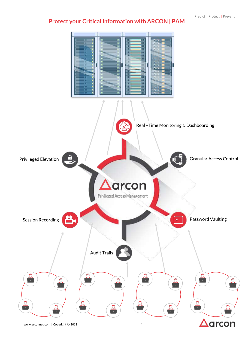# **Protect your Critical Information with ARCON | PAM**

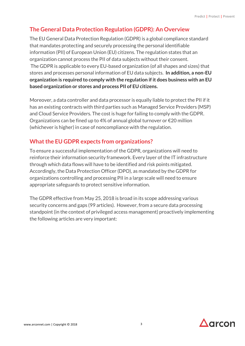## **The General Data Protection Regulation (GDPR): An Overview**

The EU General Data Protection Regulation (GDPR) is a global compliance standard that mandates protecting and securely processing the personal identifiable information (PII) of European Union (EU) citizens. The regulation states that an organization cannot process the PII of data subjects without their consent. The GDPR is applicable to every EU-based organization (of all shapes and sizes) that stores and processes personal information of EU data subjects. **In addition, a non-EU organization is required to comply with the regulation if it does business with an EU based organization or stores and process PII of EU citizens.** 

Moreover, a data controller and data processor is equally liable to protect the PII if it has an existing contracts with third parties such as Managed Service Providers (MSP) and Cloud Service Providers. The cost is huge for failing to comply with the GDPR. Organizations can be fined up to 4% of annual global turnover or €20 million (whichever is higher) in case of noncompliance with the regulation.

### **What the EU GDPR expects from organizations?**

To ensure a successful implementation of the GDPR, organizations will need to reinforce their information security framework. Every layer of the IT infrastructure through which data flows will have to be identified and risk points mitigated. Accordingly, the Data Protection Officer (DPO), as mandated by the GDPR for organizations controlling and processing PII in a large scale will need to ensure appropriate safeguards to protect sensitive information.

The GDPR effective from May 25, 2018 is broad in its scope addressing various security concerns and gaps (99 articles). However, from a secure data processing standpoint (in the context of privileged access management) proactively implementing the following articles are very important:

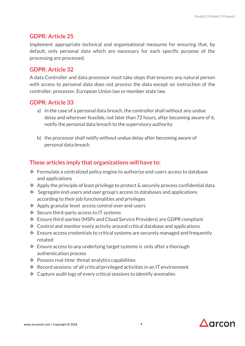#### **GDPR: Article 25**

Implement appropriate technical and organisational measures for ensuring that, by default, only personal data which are necessary for each specific purpose of the processing are processed.

#### **GDPR: Article 32**

A data Controller and data processor must take steps that ensures any natural person with access to personal data does not process the data except on instruction of the controller, processor, European Union law or member state law.

#### **GDPR: Article 33**

- a) In the case of a personal data breach, the controller shall without any undue delay and wherever feasible, not later than 72 hours, after becoming aware of it, notify the personal data breach to the supervisory authority
- b) the processor shall notify without undue delay after becoming aware of personal data breach

#### **These articles imply that organizations will have to:**

- $\cdot$  Formulate a centralized policy engine to authorize end-users access to database and applications
- $\triangle$  Apply the principle of least privilege to protect & securely process confidential data
- $\cdot$  Segregate end-users and user group's access to databases and applications according to their job functionalities and privileges
- Apply granular level access control over end-users
- ❖ Secure third-party access to IT systems
- Ensure third-parties (MSPs and Cloud Service Providers) are GDPR compliant
- $\cdot$  Control and monitor every activity around critical database and applications
- $\cdot$  Ensure access credentials to critical systems are securely managed and frequently rotated
- $\cdot$  Ensure access to any underlying target systems is only after a thorough authentication process
- Possess real-time threat analytics capabilities
- Record sessions of all critical/privileged activities in an IT environment
- $\triangle$  Capture audit logs of every critical sessions to identify anomalies

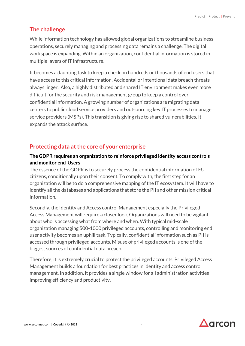## **The challenge**

While information technology has allowed global organizations to streamline business operations, securely managing and processing data remains a challenge. The digital workspace is expanding. Within an organization, confidential information is stored in multiple layers of IT infrastructure.

It becomes a daunting task to keep a check on hundreds or thousands of end users that have access to this critical information. Accidental or intentional data breach threats always linger. Also, a highly distributed and shared IT environment makes even more difficult for the security and risk management group to keep a control over confidential information. A growing number of organizations are migrating data centers to public cloud service providers and outsourcing key IT processes to manage service providers (MSPs). This transition is giving rise to shared vulnerabilities. It expands the attack surface.

## **Protecting data at the core of your enterprise**

#### **The GDPR requires an organization to reinforce privileged identity access controls and monitor end-Users**

The essence of the GDPR is to securely process the confidential information of EU citizens, conditionally upon their consent. To comply with, the first step for an organization will be to do a comprehensive mapping of the IT ecosystem. It will have to identify all the databases and applications that store the PII and other mission critical information.

Secondly, the Identity and Access control Management especially the Privileged Access Management will require a closer look. Organizations will need to be vigilant about who is accessing what from where and when. With typical mid-scale organization managing 500-1000 privileged accounts, controlling and monitoring end user activity becomes an uphill task. Typically, confidential information such as PII is accessed through privileged accounts. Misuse of privileged accounts is one of the biggest sources of confidential data breach.

Therefore, it is extremely crucial to protect the privileged accounts. Privileged Access Management builds a foundation for best practices in identity and access control management. In addition, it provides a single window for all administration activities improving efficiency and productivity.

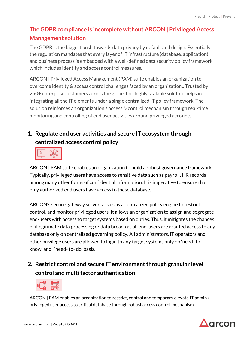# **The GDPR compliance is incomplete without ARCON | Privileged Access Management solution**

The GDPR is the biggest push towards data privacy by default and design. Essentially the regulation mandates that every layer of IT infrastructure (database, application) and business process is embedded with a well-defined data security policy framework which includes identity and access control measures.

ARCON | Privileged Access Management (PAM) suite enables an organization to overcome identity & access control challenges faced by an organization.. Trusted by 250+ enterprise customers across the globe, this highly scalable solution helps in integrating all the IT elements under a single centralized IT policy framework. The solution reinforces an organization's access & control mechanism through real-time monitoring and controlling of end user activities around privileged accounts.

## **1. Regulate end user activities and secure IT ecosystem through centralized access control policy**

|--|

ARCON | PAM suite enables an organization to build a robust governance framework. Typically, privileged users have access to sensitive data such as payroll, HR records among many other forms of confidential information. It is imperative to ensure that only authorized end users have access to these database.

ARCON's secure gateway server serves as a centralized policy engine to restrict, control, and monitor privileged users. It allows an organization to assign and segregate end-users with access to target systems based on duties. Thus, it mitigates the chances of illegitimate data processing or data breach as all end-users are granted access to any database only on centralized governing policy. All administrators, IT operators and other privilege users are allowed to login to any target systems only on 'need -toknow' and 'need- to- do' basis.

## **2. Restrict control and secure IT environment through granular level control and multi factor authentication**



ARCON | PAM enables an organization to restrict, control and temporary elevate IT admin / privileged user access to critical database through robust access control mechanism.

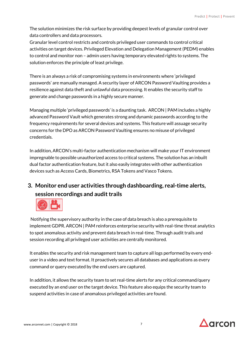The solution minimizes the risk surface by providing deepest levels of granular control over data controllers and data processors.

Granular level control restricts and controls privileged user commands to control critical activities on target devices. Privileged Elevation and Delegation Management (PEDM) enables to control and monitor non – admin users having temporary elevated rights to systems. The solution enforces the principle of least privilege.

There is an always a risk of compromising systems in environments where 'privileged passwords' are manually managed. A security layer of ARCON Password Vaulting provides a resilience against data theft and unlawful data processing. It enables the security staff to generate and change passwords in a highly secure manner.

Managing multiple 'privileged passwords' is a daunting task. ARCON | PAM includes a highly advanced Password Vault which generates strong and dynamic passwords according to the frequency requirements for several devices and systems. This feature will assuage security concerns for the DPO as ARCON Password Vaulting ensures no misuse of privileged credentials.

In addition, ARCON's multi-factor authentication mechanism will make your IT environment impregnable to possible unauthorized access to critical systems. The solution has an inbuilt dual factor authentication feature, but it also easily integrates with other authentication devices such as Access Cards, Biometrics, RSA Tokens and Vasco Tokens.

## **3. Monitor end user activities through dashboarding, real-time alerts, session recordings and audit trails**



Notifying the supervisory authority in the case of data breach is also a prerequisite to implement GDPR. ARCON | PAM reinforces enterprise security with real-time threat analytics to spot anomalous activity and prevent data breach in real-time. Through audit trails and session recording all privileged user activities are centrally monitored.

It enables the security and risk management team to capture all logs performed by every enduser in a video and text format. It proactively secures all databases and applications as every command or query executed by the end users are captured.

In addition, it allows the security team to set real-time alerts for any critical command/query executed by an end user on the target device. This feature also equips the security team to suspend activities in case of anomalous privileged activities are found.

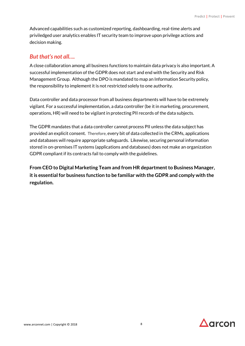Advanced capabilities such as customized reporting, dashboarding, real-time alerts and priviledged user analytics enables IT security team to improve upon privilege actions and decision making.

#### *But that's not all….*

A close collaboration among all business functions to maintain data privacy is also important. A successful implementation of the GDPR does not start and end with the Security and Risk Management Group. Although the DPO is mandated to map an Information Security policy, the responsibility to implement it is not restricted solely to one authority.

Data controller and data processor from all business departments will have to be extremely vigilant. For a successful implementation, a data controller (be it in marketing, procurement, operations, HR) will need to be vigilant in protecting PII records of the data subjects.

The GDPR mandates that a data controller cannot process PII unless the data subject has provided an explicit consent. Therefore, every bit of data collected in the CRMs, applications and databases will require appropriate safeguards. Likewise, securing personal information stored in on-premises IT systems (applications and databases) does not make an organization GDPR compliant if its contracts fail to comply with the guidelines.

**From CEO to Digital Marketing Team and from HR department to Business Manager, it is essential for business function to be familiar with the GDPR and comply with the regulation.** 

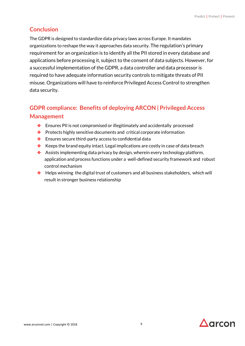## **Conclusion**

The GDPR is designed to standardize data privacy laws across Europe. It mandates organizations to reshape the way it approaches data security. The regulation's primary requirement for an organization is to identify all the PII stored in every database and applications before processing it, subject to the consent of data subjects. However, for a successful implementation of the GDPR, a data controller and data processor is required to have adequate information security controls to mitigate threats of PII misuse. Organizations will have to reinforce Privileged Access Control to strengthen data security.

## **GDPR compliance: Benefits of deploying ARCON | Privileged Access Management**

- ❖ Ensures PII is not compromised or illegitimately and accidentally processed
- ❖ Protects highly sensitive documents and critical corporate information
- ❖ Ensures secure third-party access to confidential data
- ❖ Keeps the brand equity intact. Legal implications are costly in case of data breach
- ❖ Assists implementing data privacy by design, wherein every technology platform, application and process functions under a well-defined security framework and robust control mechanism
- ❖ Helps winning the digital trust of customers and all business stakeholders, which will result in stronger business relationship